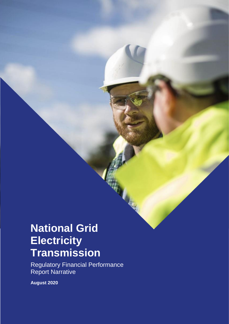# **National Grid Electricity Transmission**

Regulatory Financial Performance Report Narrative

<span id="page-0-0"></span>FINANCIAL PERFORMANCE REPORT NARRATIVE – 2019/20

**August 2020**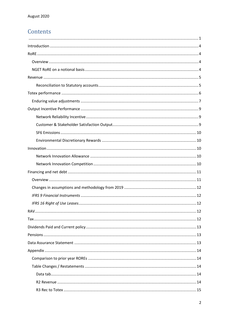# Contents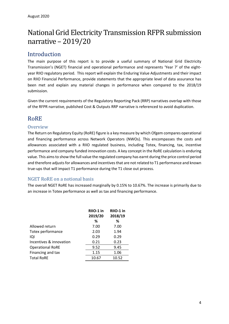# National Grid Electricity Transmission RFPR submission narrative – 2019/20

# <span id="page-3-0"></span>Introduction

The main purpose of this report is to provide a useful summary of National Grid Electricity Transmission's (NGET) financial and operational performance and represents 'Year 7' of the eightyear RIIO regulatory period. This report will explain the Enduring Value Adjustments and their impact on RIIO Financial Performance, provide statements that the appropriate level of data assurance has been met and explain any material changes in performance when compared to the 2018/19 submission.

Given the current requirements of the Regulatory Reporting Pack (RRP) narratives overlap with those of the RFPR narrative, published Cost & Outputs RRP narrative is referenced to avoid duplication.

# <span id="page-3-1"></span>RoRE

# <span id="page-3-2"></span>**Overview**

The Return on Regulatory Equity (RoRE) figure is a key measure by which Ofgem compares operational and financing performance across Network Operators (NWOs). This encompasses the costs and allowances associated with a RIIO regulated business, including Totex, financing, tax, incentive performance and company funded innovation costs. A key concept in the RoRE calculation is enduring value. This aims to show the full value the regulated company has earnt during the price control period and therefore adjusts for allowances and incentives that are not related to T1 performance and known true-ups that will impact T1 performance during the T1 close out process.

# <span id="page-3-3"></span>NGET RoRE on a notional basis

The overall NGET RoRE has increased marginally by 0.15% to 10.67%. The increase is primarily due to an increase in Totex performance as well as tax and financing performance.

|                         | RIIO-1 in | RIIO-1 in |  |
|-------------------------|-----------|-----------|--|
|                         | 2019/20   | 2018/19   |  |
|                         | ℅         | ℅         |  |
| Allowed return          | 7.00      | 7.00      |  |
| Totex performance       | 2.03      | 1.94      |  |
| IQI                     | 0.29      | 0.29      |  |
| Incentives & innovation | 0.21      | 0.23      |  |
| <b>Operational RoRE</b> | 9.52      | 9.45      |  |
| Financing and tax       | 1.15      | 1.06      |  |
| <b>Total RoRE</b>       | 10.67     | 10.52     |  |
|                         |           |           |  |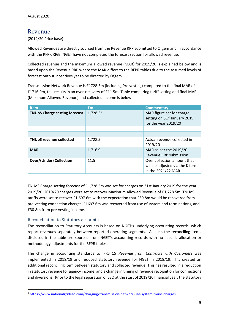# <span id="page-4-0"></span>Revenue

(2019/20 Price base)

Allowed Revenues are directly sourced from the Revenue RRP submitted to Ofgem and in accordance with the RFPR RIGs, NGET have not completed the forecast section for allowed revenue.

Collected revenue and the maximum allowed revenue (MAR) for 2019/20 is explained below and is based upon the Revenue RRP where the MAR differs to the RFPR tables due to the assumed levels of forecast output incentives yet to be directed by Ofgem.

Transmission Network Revenue is £1728.5m (including Pre vesting) compared to the final MAR of £1716.9m, this results in an over-recovery of £11.5m. Table comparing tariff setting and final MAR (Maximum Allowed Revenue) and collected income is below:

| <b>Item</b>                          | £m                   | <b>Commentary</b>                                                                             |
|--------------------------------------|----------------------|-----------------------------------------------------------------------------------------------|
| <b>TNUoS Charge setting forecast</b> | 1,728.5 <sup>1</sup> | MAR figure set for charge<br>setting on 31 <sup>st</sup> January 2019<br>for the year 2019/20 |
|                                      |                      |                                                                                               |
|                                      |                      |                                                                                               |
| <b>TNUoS revenue collected</b>       | 1,728.5              | Actual revenue collected in<br>2019/20                                                        |
| <b>MAR</b>                           | 1,716.9              | MAR as per the 2019/20<br>Revenue RRP submission                                              |
| <b>Over/(Under) Collection</b>       | 11.5                 | Over collection amount that<br>will be adjusted via the K term<br>in the 2021/22 MAR.         |

TNUoS Charge setting forecast of £1,728.5m was set for charges on 31st January 2019 for the year 2019/20. 2019/20 charges were set to recover Maximum Allowed Revenue of £1,728.5m. TNUoS tariffs were set to recover £1,697.6m with the expectation that £30.8m would be recovered from pre-vesting connection charges. £1697.6m was recovered from use of system and terminations, and £30.8m from pre-vesting income.

# <span id="page-4-1"></span>Reconciliation to Statutory accounts

**.** 

The reconciliation to Statutory Accounts is based on NGET's underlying accounting records, which report revenues separately between reported operating segments. As such the reconciling items disclosed in the table are sourced from NGET's accounting records with no specific allocation or methodology adjustments for the RFPR tables.

The change in accounting standards to IFRS 15 *Revenue from Contracts with Customers* was implemented in 2018/19 and reduced statutory revenue for NGET in 2018/19. This created an additional reconciling item between statutory and collected revenue. This has resulted in a reduction in statutory revenue for agency income, and a change in timing of revenue recognition for connections and diversions. Prior to the legal separation of ESO at the start of 2019/20 financial year, the statutory

<sup>1</sup> <https://www.nationalgrideso.com/charging/transmission-network-use-system-tnuos-charges>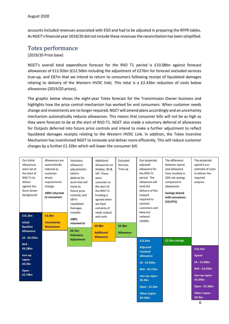accounts included revenues associated with ESO and had to be adjusted in preparing the RFPR tables. As NGET's financial year 2019/20 did not include these revenues the reconciliation has been simplified.

# <span id="page-5-0"></span>Totex performance

(2019/20 Price base)

NGET's overall total expenditure forecast for the RIIO T1 period is £10.08bn against forecast allowances of £12.92bn (£12.56bn including the adjustment of £276m for forecast excluded services true-up, and £87m that we intend to return to consumers following receipt of liquidated damages relating to delivery of the Western HVDC link). This total is a £2.43bn reduction of costs below allowances (2019/20 prices).

The graphic below shows the eight-year Totex forecast for the Transmission Owner business and highlights how the price control mechanism has worked for end consumers. When customer needs change and investments are no longer required, NGET will amend plans accordingly and an uncertainty mechanism automatically reduces allowances. This means that consumer bills will not be as high as they were forecast to be at the start of RIIO-T1. NGET also made a voluntary deferral of allowances for Outputs deferred into future price controls and intend to make a further adjustment to reflect liquidated damages receipts relating to the Western HVDC Link. In addition, the Totex Incentive Mechanism has incentivised NGET to innovate and deliver more efficiently. This will reduce customer charges by a further £1.32bn which will lower the consumer bill.

| Our initial<br>allowances<br>were set at<br>the start of<br>RIIO-T1 to<br>deliver<br>against the<br>Gone Green<br>background | Allowances are<br>automatically<br>reduced as<br>customer<br>driven<br>requirements<br>change.<br>100% returned<br>to consumers | Voluntary<br>allowance<br>adjustments:<br>£647m<br>deferral for<br>work that will<br>move to<br>future price<br>controls; and<br>£87m<br>Liquidated<br><b>Damages</b><br>receipts. | Additional<br>allowances on<br>Hinkley, ISS &<br>VIP. These<br>were<br>uncertain at<br>the start of<br>the RIIO-T1.<br>Funding is<br>agreed when<br>we have<br>certainty of<br>need, output, | Excluded<br><b>Services</b><br>True-up | Our projected<br>adjusted<br>allowance for<br>the RIIO-T1<br>period. The<br>allowance will<br>fund the<br>delivery of the<br>outputs<br>required to<br>connect<br>customers and<br>keep our | The difference<br>between spend<br>and allowance<br>have resulted in<br>20% net savings<br>compared to<br>allowances.<br>Savings shared<br>with consumers<br>(53/47%) | The projected<br>spend is our<br>estimate of costs<br>to deliver the<br>required<br>outputs. |
|------------------------------------------------------------------------------------------------------------------------------|---------------------------------------------------------------------------------------------------------------------------------|------------------------------------------------------------------------------------------------------------------------------------------------------------------------------------|----------------------------------------------------------------------------------------------------------------------------------------------------------------------------------------------|----------------------------------------|---------------------------------------------------------------------------------------------------------------------------------------------------------------------------------------------|-----------------------------------------------------------------------------------------------------------------------------------------------------------------------|----------------------------------------------------------------------------------------------|
| £15.2bn<br><b>Initial</b><br><b>Baseline</b><br><b>Allowance</b>                                                             | £2.4bn<br><b>Uncertainty</b><br><b>Mechanism</b>                                                                                | 100%<br>returned to<br>£0.7bn                                                                                                                                                      | and costs<br>£0.8bn                                                                                                                                                                          | £0.3bn                                 | network<br>reliable.                                                                                                                                                                        |                                                                                                                                                                       |                                                                                              |
| LR - £6.55bn<br>$NLR -$                                                                                                      |                                                                                                                                 | <b>Voluntary</b><br><b>Adjustment</b>                                                                                                                                              | <b>Additional</b><br><b>Allowance</b>                                                                                                                                                        | <b>Allowance</b>                       | £12.6bn                                                                                                                                                                                     | £2.5bn savings                                                                                                                                                        |                                                                                              |
| £6.28bn                                                                                                                      |                                                                                                                                 |                                                                                                                                                                                    |                                                                                                                                                                                              |                                        | <b>Adjusted</b><br>restated                                                                                                                                                                 |                                                                                                                                                                       | £10.1bn                                                                                      |
| non-op                                                                                                                       |                                                                                                                                 |                                                                                                                                                                                    |                                                                                                                                                                                              |                                        | allowance                                                                                                                                                                                   |                                                                                                                                                                       | <b>Spend</b>                                                                                 |
| capex -<br>£0.2bn                                                                                                            |                                                                                                                                 |                                                                                                                                                                                    |                                                                                                                                                                                              |                                        | <b>LR-£3.92bn</b>                                                                                                                                                                           |                                                                                                                                                                       | LR-£3.28bn                                                                                   |
| Opex -                                                                                                                       |                                                                                                                                 |                                                                                                                                                                                    |                                                                                                                                                                                              |                                        | <b>NLR - £5.71bn</b>                                                                                                                                                                        |                                                                                                                                                                       | <b>NLR - £3.65bn</b>                                                                         |
| £2.19bn                                                                                                                      |                                                                                                                                 |                                                                                                                                                                                    |                                                                                                                                                                                              |                                        | non-op capex -<br>£0.2bn                                                                                                                                                                    |                                                                                                                                                                       | non-op capex -<br>£0.39bn                                                                    |
|                                                                                                                              |                                                                                                                                 |                                                                                                                                                                                    |                                                                                                                                                                                              |                                        | Opex - £2.2bn                                                                                                                                                                               |                                                                                                                                                                       | <b>Opex - £2.36bn</b>                                                                        |
|                                                                                                                              |                                                                                                                                 |                                                                                                                                                                                    |                                                                                                                                                                                              |                                        | <b>Other Capex -</b><br>£0.53bn                                                                                                                                                             |                                                                                                                                                                       | <b>Other Capex -</b><br>£0.4bn                                                               |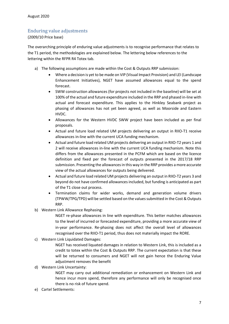# <span id="page-6-0"></span>Enduring value adjustments

(2009/10 Price base)

The overarching principle of enduring value adjustments is to recognise performance that relates to the T1 period, the methodologies are explained below. The lettering below references to the lettering within the RFPR R4 Totex tab.

- a) The following assumptions are made within the Cost & Outputs RRP submission:
	- Where a decision is yet to be made on VIP (Visual Impact Provision) and LEI (Landscape Enhancement Initiatives), NGET have assumed allowances equal to the spend forecast.
	- SWW construction allowances (for projects not included in the baseline) will be set at 100% of the actual and future expenditure included in the RRP and phased in-line with actual and forecast expenditure. This applies to the Hinkley Seabank project as phasing of allowances has not yet been agreed, as well as Moorside and Eastern HVDC.
	- Allowances for the Western HVDC SWW project have been included as per final proposals.
	- Actual and future load related UM projects delivering an output in RIIO-T1 receive allowances in-line with the current UCA funding mechanism.
	- Actual and future load related UM projects delivering an output in RIIO-T2 years 1 and 2 will receive allowances in-line with the current UCA funding mechanism. Note this differs from the allowances presented in the PCFM which are based on the licence definition and fixed per the forecast of outputs presented in the 2017/18 RRP submission. Presenting the allowances in this way in the RRP provides a more accurate view of the actual allowances for outputs being delivered.
	- Actual and future load related UM projects delivering an output in RIIO-T2 years 3 and beyond do not have confirmed allowances included, but funding is anticipated as part of the T1 close out process.
	- Termination claims for wider works, demand and generation volume drivers (TPWW/TPG/TPD) will be settled based on the values submitted in the Cost & Outputs RRP.
- b) Western Link Allowance Rephasing:

NGET re-phase allowances in line with expenditure. This better matches allowances to the level of incurred or forecasted expenditure, providing a more accurate view of in-year performance. Re-phasing does not affect the overall level of allowances recognised over the RIIO-T1 period, thus does not materially impact the RORE.

c) Western Link Liquidated Damages:

NGET has received liquated damages in relation to Western Link, this is included as a credit to totex within the Cost & Outputs RRP. The current expectation is that these will be returned to consumers and NGET will not gain hence the Enduring Value adjustment removes the benefit

d) Western Link Uncertainty:

NGET may carry out additional remediation or enhancement on Western Link and hence incur more spend, therefore any performance will only be recognised once there is no risk of future spend.

e) Cartel Settlements: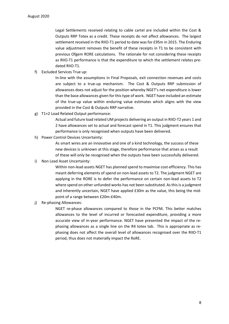Legal Settlements received relating to cable cartel are included within the Cost & Outputs RRP Totex as a credit. These receipts do not affect allowances. The largest settlement received in the RIIO-T1 period to date was for £95m in 2015. The Enduring value adjustment removes the benefit of these receipts in T1 to be consistent with previous Ofgem RORE calculations. The rationale for not considering these receipts as RIIO-T1 performance is that the expenditure to which the settlement relates predated RIIO-T1.

f) Excluded Services True up:

In-line with the assumptions in Final Proposals, exit connection revenues and costs are subject to a true-up mechanism. The Cost & Outputs RRP submission of allowances does not adjust for the position whereby NGET's net expenditure is lower than the base allowances given for this type of work. NGET have included an estimate of the true-up value within enduring value estimates which aligns with the view provided in the Cost & Outputs RRP narrative.

g) T1+2 Load Related Output performance:

Actual and future load related UM projects delivering an output in RIIO-T2 years 1 and 2 have allowances set to actual and forecast spend in T1. This judgment ensures that performance is only recognised when outputs have been delivered.

h) Power Control Devices Uncertainty:

As smart wires are an innovative and one of a kind technology, the success of these new devices is unknown at this stage, therefore performance that arises as a result of these will only be recognised when the outputs have been successfully delivered.

i) Non Lead Asset Uncertainty:

Within non-lead assets NGET has planned spend to maximise cost-efficiency. This has meant deferring elements of spend on non-lead assets to T2. The judgment NGET are applying in the RORE is to defer the performance on certain non-lead assets to T2 where spend on other unfunded works has not been substituted. As this is a judgment and inherently uncertain, NGET have applied £30m as the value, this being the midpoint of a range between £20m-£40m.

j) Re-phasing Allowances:

NGET re-phase allowances compared to those in the PCFM. This better matches allowances to the level of incurred or forecasted expenditure, providing a more accurate view of in-year performance. NGET have presented the impact of the rephasing allowances as a single line on the R4 totex tab. This is appropriate as rephasing does not affect the overall level of allowances recognised over the RIIO-T1 period, thus does not materially impact the RoRE.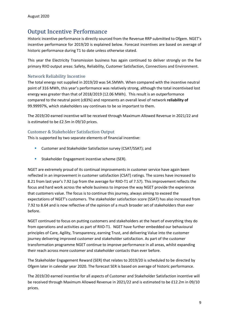# <span id="page-8-0"></span>Output Incentive Performance

Historic incentive performance is directly sourced from the Revenue RRP submitted to Ofgem. NGET's incentive performance for 2019/20 is explained below. Forecast incentives are based on average of historic performance during T1 to date unless otherwise stated.

This year the Electricity Transmission business has again continued to deliver strongly on the five primary RIIO output areas: Safety, Reliability, Customer Satisfaction, Connections and Environment.

## <span id="page-8-1"></span>Network Reliability Incentive

The total energy not supplied in 2019/20 was 54.5MWh. When compared with the incentive neutral point of 316 MWh, this year's performance was relatively strong, although the total incentivised lost energy was greater than that of 2018/2019 (12.06 MWh). This result is an outperformance compared to the neutral point (c83%) and represents an overall level of network **reliability of** 99.99997%, which stakeholders say continues to be so important to them.

The 2019/20 earned incentive will be received through Maximum Allowed Revenue in 2021/22 and is estimated to be £2.5m in 09/10 prices.

## <span id="page-8-2"></span>Customer & Stakeholder Satisfaction Output

This is supported by two separate elements of financial incentive:

- Customer and Stakeholder Satisfaction survey (CSAT/SSAT); and
- **EXECTE:** Stakeholder Engagement incentive scheme (SER).

NGET are extremely proud of its continual improvements in customer service have again been reflected in an improvement in customer satisfaction (CSAT) ratings. The scores have increased to 8.21 from last year's 7.92 (up from the average for RIIO-T1 of 7.57). This improvement reflects the focus and hard work across the whole business to improve the way NGET provide the experience that customers value. The focus is to continue this journey, always aiming to exceed the expectations of NGET's customers. The stakeholder satisfaction score (SSAT) has also increased from 7.92 to 8.64 and is now reflective of the opinion of a much broader set of stakeholders than ever before.

NGET continued to focus on putting customers and stakeholders at the heart of everything they do from operations and activities as part of RIIO-T1. NGET have further embedded our behavioural principles of Care, Agility, Transparency, earning Trust, and delivering Value into the customer journey delivering improved customer and stakeholder satisfaction. As part of the customer transformation programme NGET continue to improve performance in all areas, whilst expanding their reach across more customer and stakeholder contacts than ever before.

The Stakeholder Engagement Reward (SER) that relates to 2019/20 is scheduled to be directed by Ofgem later in calendar year 2020. The forecast SER is based on average of historic performance.

The 2019/20 earned incentive for all aspects of Customer and Stakeholder Satisfaction incentive will be received through Maximum Allowed Revenue in 2021/22 and is estimated to be £12.2m in 09/10 prices.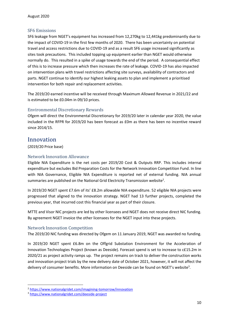## <span id="page-9-0"></span>SF6 Emissions

SF6 leakage from NGET's equipment has increased from 12,270kg to 12,441kg predominantly due to the impact of COVID-19 in the first few months of 2020. There has been uncertainty on potential travel and access restrictions due to COVID-19 and as a result SF6 usage increased significantly as sites took precautions. This included topping up equipment earlier than NGET would otherwise normally do. This resulted in a spike of usage towards the end of the period. A consequential effect of this is to increase pressure which then increases the rate of leakage. COVID-19 has also impacted on intervention plans with travel restrictions affecting site surveys, availability of contractors and parts. NGET continue to identify our highest leaking assets to plan and implement a prioritised intervention for both repair and replacement activities.

The 2019/20 earned incentive will be received through Maximum Allowed Revenue in 2021/22 and is estimated to be £0.04m in 09/10 prices.

## <span id="page-9-1"></span>Environmental Discretionary Rewards

Ofgem will direct the Environmental Discretionary for 2019/20 later in calendar year 2020, the value included in the RFPR for 2019/20 has been forecast as £0m as there has been no incentive reward since 2014/15.

# <span id="page-9-2"></span>Innovation

(2019/20 Price base)

## <span id="page-9-3"></span>Network Innovation Allowance

Eligible NIA Expenditure is the net costs per 2019/20 Cost & Outputs RRP. This includes internal expenditure but excludes Bid Preparation Costs for the Network Innovation Competition Fund. In line with NIA Governance, Eligible NIA Expenditure is reported net of external funding. NIA annual summaries are published on the National Grid Electricity Transmission website<sup>2</sup>.

In 2019/20 NGET spent £7.6m of its' £8.2m allowable NIA expenditure. 52 eligible NIA projects were progressed that aligned to the innovation strategy. NGET had 13 further projects, completed the previous year, that incurred cost this financial year as part of their closure.

MTTE and Visor NIC projects are led by other licensees and NGET does not receive direct NIC funding. By agreement NGET invoice the other licensees for the NGET input into these projects.

# <span id="page-9-4"></span>Network Innovation Competition

The 2019/20 NIC funding was directed by Ofgem on 11 January 2019, NGET was awarded no funding.

In 2019/20 NGET spent £6.8m on the Offgrid Substation Environment for the Acceleration of Innovation Technologies Project (known as Deeside). Forecast spend is set to increase to c£15.2m in 2020/21 as project activity ramps up. The project remains on track to deliver the construction works and innovation project trials by the new delivery date of October 2021, however, it will not affect the delivery of consumer benefits. More information on Deeside can be found on NGET's website<sup>3</sup>.

1

<sup>2</sup> <https://www.nationalgridet.com/imagining-tomorrow/innovation>

<sup>3</sup> <https://www.nationalgridet.com/deeside-project>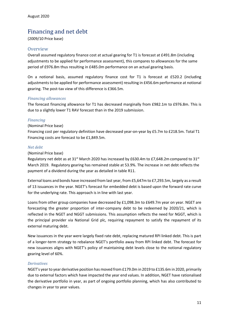# <span id="page-10-0"></span>Financing and net debt

(2009/10 Price base)

### <span id="page-10-1"></span>**Overview**

Overall assumed regulatory finance cost at actual gearing for T1 is forecast at £491.8m (including adjustments to be applied for performance assessment), this compares to allowances for the same period of £976.8m thus resulting in £485.0m performance on an actual gearing basis.

On a notional basis, assumed regulatory finance cost for T1 is forecast at £520.2 (including adjustments to be applied for performance assessment) resulting in £456.6m performance at notional gearing. The post-tax view of this difference is £366.5m.

#### *Financing allowances*

The forecast financing allowance for T1 has decreased marginally from £982.1m to £976.8m. This is due to a slightly lower T1 RAV forecast than in the 2019 submission.

#### *Financing*

#### (Nominal Price base)

Financing cost per regulatory definition have decreased year-on-year by £5.7m to £218.5m. Total T1 Financing costs are forecast to be £1,849.5m.

#### *Net debt*

#### (Nominal Price base)

Regulatory net debt as at 31<sup>st</sup> March 2020 has increased by £630.4m to £7,648.2m compared to 31<sup>st</sup> March 2019. Regulatory gearing has remained stable at 53.9%. The increase in net debt reflects the payment of a dividend during the year as detailed in table R11.

External loans and bonds have increased from last year, from £5,647m to £7,293.5m, largely as a result of 13 issuances in the year. NGET's forecast for embedded debt is based upon the forward rate curve for the underlying rate. This approach is in line with last year.

Loans from other group companies have decreased by £1,098.3m to £649.7m year on year. NGET are forecasting the greater proportion of inter-company debt to be redeemed by 2020/21, which is reflected in the NGET and NGGT submissions. This assumption reflects the need for NGGT, which is the principal provider via National Grid plc, requiring repayment to satisfy the repayment of its external maturing debt.

New issuances in the year were largely fixed rate debt, replacing matured RPI linked debt. This is part of a longer-term strategy to rebalance NGET's portfolio away from RPI linked debt. The forecast for new issuances aligns with NGET's policy of maintaining debt levels close to the notional regulatory gearing level of 60%.

#### *Derivatives*

NGET's year to year derivative position has moved from £179.0m in 2019 to £135.6m in 2020, primarily due to external factors which have impacted the year end values. In addition, NGET have rationalised the derivative portfolio in year, as part of ongoing portfolio planning, which has also contributed to changes in year to year values.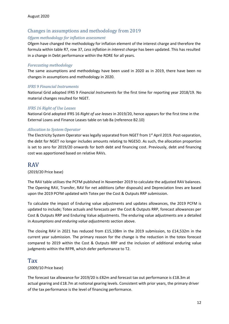# <span id="page-11-0"></span>Changes in assumptions and methodology from 2019

### *Ofgem methodology for inflation assessment*

Ofgem have changed the methodology for inflation element of the interest charge and therefore the formula within table R7, row 37, *Less inflation in interest charge* has been updated. This has resulted in a change in Debt performance within the RORE for all years.

#### *Forecasting methodology*

The same assumptions and methodology have been used in 2020 as in 2019, there have been no changes in assumptions and methodology in 2020.

#### <span id="page-11-1"></span>*IFRS 9 Financial Instruments*

National Grid adopted IFRS 9 *Financial Instruments* for the first time for reporting year 2018/19. No material changes resulted for NGET.

#### <span id="page-11-2"></span>*IFRS 16 Right of Use Leases*

National Grid adopted IFRS 16 *Right of use leases* in 2019/20, hence appears for the first time in the External Loans and Finance Leases table on tab 8a (reference B2.10)

#### *Allocation to System Operator*

The Electricity System Operator was legally separated from NGET from 1<sup>st</sup> April 2019. Post-separation, the debt for NGET no longer includes amounts relating to NGESO. As such, the allocation proportion is set to zero for 2019/20 onwards for both debt and financing cost. Previously, debt and financing cost was apportioned based on relative RAVs.

# <span id="page-11-3"></span>RAV

#### (2019/20 Price base)

The RAV table utilises the PCFM published in November 2019 to calculate the adjusted RAV balances. The Opening RAV, Transfer, RAV for net additions (after disposals) and Depreciation lines are based upon the 2019 PCFM updated with Totex per the Cost & Outputs RRP submission.

To calculate the impact of Enduring value adjustments and updates allowances, the 2019 PCFM is updated to include; Totex actuals and forecasts per the Cost & Outputs RRP, forecast allowances per Cost & Outputs RRP and Enduring Value adjustments. The enduring value adjustments are a detailed in *Assumptions and enduring value adjustments* section above.

The closing RAV in 2021 has reduced from £15,108m in the 2019 submission, to £14,532m in the current year submission. The primary reason for the change is the reduction in the totex forecast compared to 2019 within the Cost & Outputs RRP and the inclusion of additional enduring value judgments within the RFPR, which defer performance to T2.

# <span id="page-11-4"></span>Tax

#### (2009/10 Price base)

The forecast tax allowance for 2019/20 is £82m and forecast tax out performance is £18.3m at actual gearing and £18.7m at notional gearing levels. Consistent with prior years, the primary driver of the tax performance is the level of financing performance.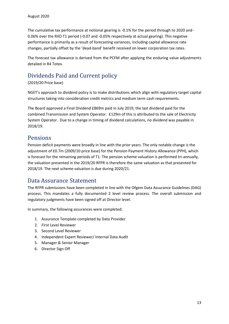The cumulative tax performance at notional gearing is -0.1% for the period through to 2020 and - 0.06% over the RIIO T1 period (-0.07 and -0.05% respectively at actual gearing). This negative performance is primarily as a result of forecasting variances, including capital allowance rate changes, partially offset by the 'dead-band' benefit received on lower corporation tax rates.

The forecast tax allowance is derived from the PCFM after applying the enduring value adjustments detailed in R4 Totex.

# <span id="page-12-0"></span>Dividends Paid and Current policy

(2019/20 Price base)

NGET's approach to dividend policy is to make distributions which align with regulatory target capital structures taking into consideration credit metrics and medium term cash requirements.

The Board approved a Final Dividend £869m paid in July 2019, the last dividend paid for the combined Transmission and System Operator. £129m of this is attributed to the sale of Electricity System Operator. Due to a change in timing of dividend calculations, no dividend was payable in 2018/19.

# <span id="page-12-1"></span>Pensions

Pension deficit payments were broadly in line with the prior years. The only notable change is the adjustment of £0.7m (2009/10 price base) for the Pension Payment History Allowance (PPH), which is forecast for the remaining periods of T1. The pension scheme valuation is performed tri-annually, the valuation presented in the 2019/20 RFPR is therefore the same valuation as that presented for 2018/19. The next scheme valuation is due during 2020/21.

# <span id="page-12-2"></span>Data Assurance Statement

The RFPR submissions have been completed in line with the Ofgem Data Assurance Guidelines (DAG) process. This mandates a fully documented 2 level review process. The overall submission and regulatory judgments have been signed off at Director level.

In summary, the following assurances were completed:

- 1. Assurance Template completed by Data Provider
- 2. First Level Reviewer
- 3. Second Level Reviewer
- 4. Independent Expert Reviewer/ Internal Data Audit
- 5. Manager & Senior Manager
- 6. Director Sign Off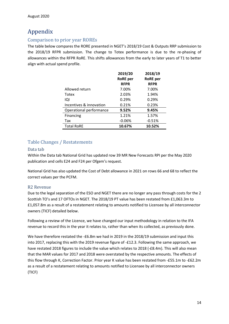# <span id="page-13-0"></span>Appendix

# <span id="page-13-1"></span>Comparison to prior year ROREs

The table below compares the RORE presented in NGET's 2018/19 Cost & Outputs RRP submission to the 2018/19 RFPR submission. The change to Totex performance is due to the re-phasing of allowances within the RFPR RoRE. This shifts allowances from the early to later years of T1 to better align with actual spend profile.

|                         | 2019/20         | 2018/19         |
|-------------------------|-----------------|-----------------|
|                         | <b>RoRE</b> per | <b>RoRE</b> per |
|                         | <b>RFPR</b>     | <b>RFPR</b>     |
| Allowed return          | 7.00%           | 7.00%           |
| Totex                   | 2.03%           | 1.94%           |
| iQi                     | 0.29%           | 0.29%           |
| Incentives & innovation | 0.21%           | 0.23%           |
| Operational performance | 9.52%           | 9.45%           |
| Financing               | 1.21%           | 1.57%           |
| Tax                     | $-0.06%$        | $-0.51%$        |
| <b>Total RoRE</b>       | 10.67%          | 10.52%          |

# <span id="page-13-2"></span>Table Changes / Restatements

## <span id="page-13-3"></span>Data tab

Within the Data tab National Grid has updated row 39 MR New Forecasts RPI per the May 2020 publication and cells E24 and F24 per Ofgem's request.

National Grid has also updated the Cost of Debt allowance in 2021 on rows 66 and 68 to reflect the correct values per the PCFM.

## <span id="page-13-4"></span>R2 Revenue

Due to the legal separation of the ESO and NGET there are no longer any pass through costs for the 2 Scottish TO's and 17 OFTOs in NGET. The 2018/19 PT value has been restated from £1,063.3m to £1,057.8m as a result of a restatement relating to amounts notified to Licensee by all interconnector owners (TICF) detailed below.

Following a review of the Licence, we have changed our input methodology in relation to the IFA revenue to record this in the year it relates to, rather than when its collected, as previously done.

We have therefore restated the -£6.8m we had in 2019 in the 2018/19 submission and input this into 2017, replacing this with the 2019 revenue figure of -£12.3. Following the same approach, we have restated 2018 figures to include the value which relates to 2018 (-£8.4m). This will also mean that the MAR values for 2017 and 2018 were overstated by the respective amounts. The effects of this flow through K, Correction Factor. Prior year K value has been restated from -£55.1m to -£62.2m as a result of a restatement relating to amounts notified to Licensee by all interconnector owners (TICF)